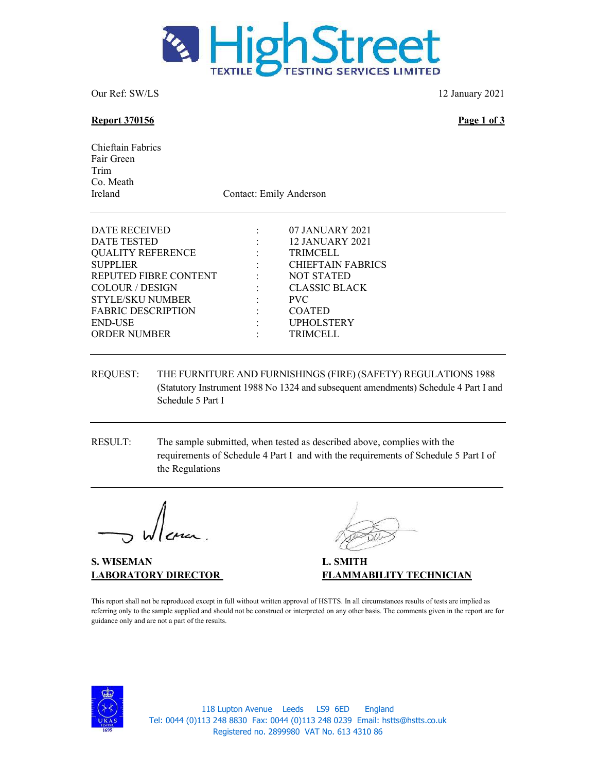

Our Ref: SW/LS 12 January 2021

### Report 370156 Page 1 of 3

Chieftain Fabrics Fair Green Trim Co. Meath Ireland Contact: Emily Anderson

| DATE RECEIVED             |                            | 07 JANUARY 2021          |
|---------------------------|----------------------------|--------------------------|
| <b>DATE TESTED</b>        | <b>Service State State</b> | 12 JANUARY 2021          |
| <b>QUALITY REFERENCE</b>  |                            | <b>TRIMCELL</b>          |
| <b>SUPPLIER</b>           | $\Delta \sim 10^{-11}$     | <b>CHIEFTAIN FABRICS</b> |
| REPUTED FIBRE CONTENT     | <b>Service</b> State       | <b>NOT STATED</b>        |
| <b>COLOUR / DESIGN</b>    |                            | <b>CLASSIC BLACK</b>     |
| <b>STYLE/SKU NUMBER</b>   | <b>Contractor</b>          | <b>PVC</b>               |
| <b>FABRIC DESCRIPTION</b> |                            | <b>COATED</b>            |
| <b>END-USE</b>            |                            | <b>UPHOLSTERY</b>        |
| <b>ORDER NUMBER</b>       |                            | <b>TRIMCELL</b>          |
|                           |                            |                          |

## REQUEST: THE FURNITURE AND FURNISHINGS (FIRE) (SAFETY) REGULATIONS 1988 (Statutory Instrument 1988 No 1324 and subsequent amendments) Schedule 4 Part I and Schedule 5 Part I

RESULT: The sample submitted, when tested as described above, complies with the requirements of Schedule 4 Part I and with the requirements of Schedule 5 Part I of the Regulations

S. WISEMAN L. SMITH

LABORATORY DIRECTOR FLAMMABILITY TECHNICIAN

This report shall not be reproduced except in full without written approval of HSTTS. In all circumstances results of tests are implied as referring only to the sample supplied and should not be construed or interpreted on any other basis. The comments given in the report are for guidance only and are not a part of the results.



118 Lupton Avenue Leeds LS9 6ED England Tel: 0044 (0)113 248 8830 Fax: 0044 (0)113 248 0239 Email: hstts@hstts.co.uk Registered no. 2899980 VAT No. 613 4310 86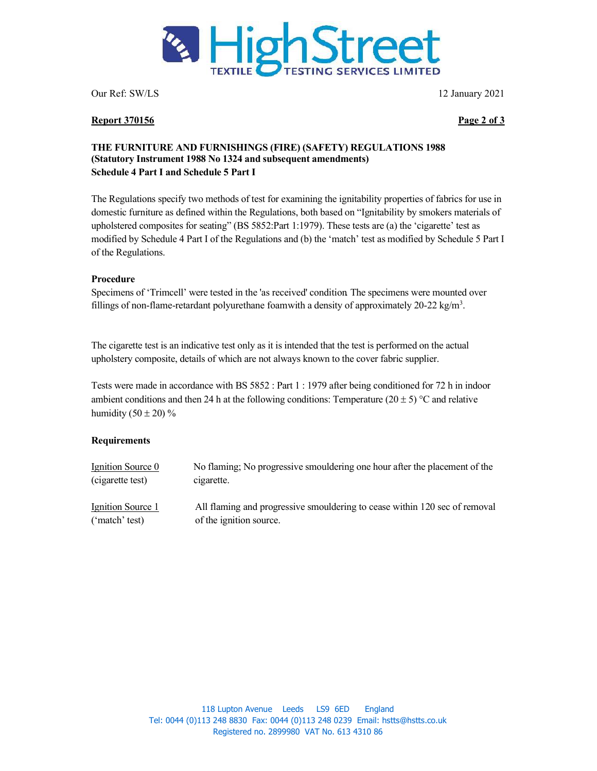

Report 370156 Page 2 of 3

Our Ref: SW/LS 12 January 2021

## THE FURNITURE AND FURNISHINGS (FIRE) (SAFETY) REGULATIONS 1988 (Statutory Instrument 1988 No 1324 and subsequent amendments) Schedule 4 Part I and Schedule 5 Part I

The Regulations specify two methods of test for examining the ignitability properties of fabrics for use in domestic furniture as defined within the Regulations, both based on "Ignitability by smokers materials of upholstered composites for seating" (BS 5852:Part 1:1979). These tests are (a) the 'cigarette' test as modified by Schedule 4 Part I of the Regulations and (b) the 'match' test as modified by Schedule 5 Part I of the Regulations.

# Procedure

Specimens of 'Trimcell' were tested in the 'as received' condition. The specimens were mounted over fillings of non-flame-retardant polyurethane foam with a density of approximately  $20-22$  kg/m<sup>3</sup>.

The cigarette test is an indicative test only as it is intended that the test is performed on the actual upholstery composite, details of which are not always known to the cover fabric supplier.

Tests were made in accordance with BS 5852 : Part 1 : 1979 after being conditioned for 72 h in indoor ambient conditions and then 24 h at the following conditions: Temperature (20  $\pm$  5) °C and relative humidity  $(50 \pm 20)\%$ 

## Requirements

| Ignition Source 0 | No flaming; No progressive smouldering one hour after the placement of the |
|-------------------|----------------------------------------------------------------------------|
| (cigarette test)  | cigarette.                                                                 |
| Ignition Source 1 | All flaming and progressive smouldering to cease within 120 sec of removal |
| ('match' test)    | of the ignition source.                                                    |